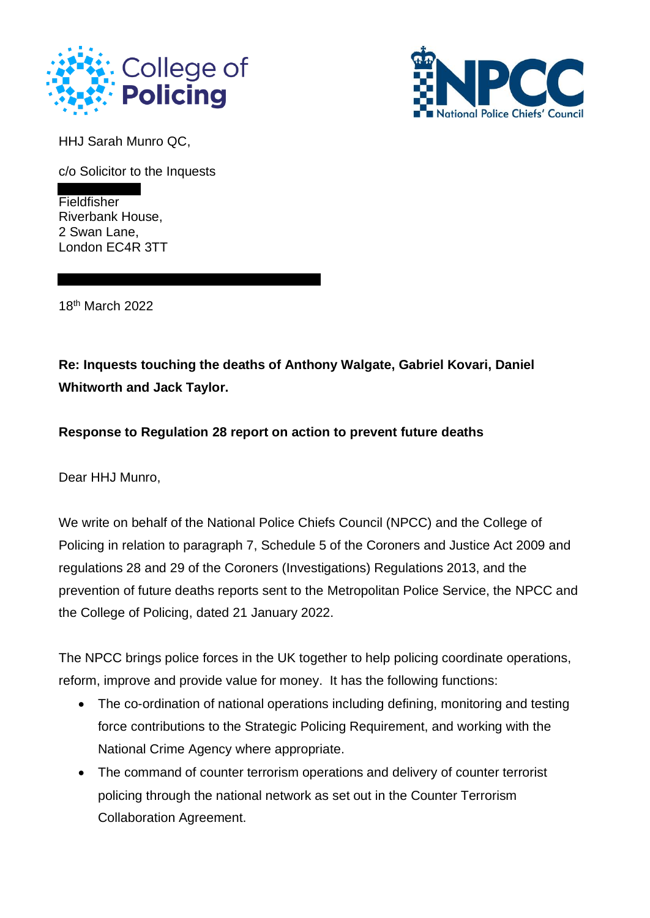



HHJ Sarah Munro QC,

c/o Solicitor to the Inquests

**Fieldfisher** Riverbank House, 2 Swan Lane, London EC4R 3TT

18 th March 2022

**Re: Inquests touching the deaths of Anthony Walgate, Gabriel Kovari, Daniel Whitworth and Jack Taylor.**

**Response to Regulation 28 report on action to prevent future deaths**

Dear HHJ Munro,

We write on behalf of the National Police Chiefs Council (NPCC) and the College of Policing in relation to paragraph 7, Schedule 5 of the Coroners and Justice Act 2009 and regulations 28 and 29 of the Coroners (Investigations) Regulations 2013, and the prevention of future deaths reports sent to the Metropolitan Police Service, the NPCC and the College of Policing, dated 21 January 2022.

The NPCC brings police forces in the UK together to help policing coordinate operations, reform, improve and provide value for money. It has the following functions:

- The co-ordination of national operations including defining, monitoring and testing force contributions to the Strategic Policing Requirement, and working with the National Crime Agency where appropriate.
- The command of counter terrorism operations and delivery of counter terrorist policing through the national network as set out in the Counter Terrorism Collaboration Agreement.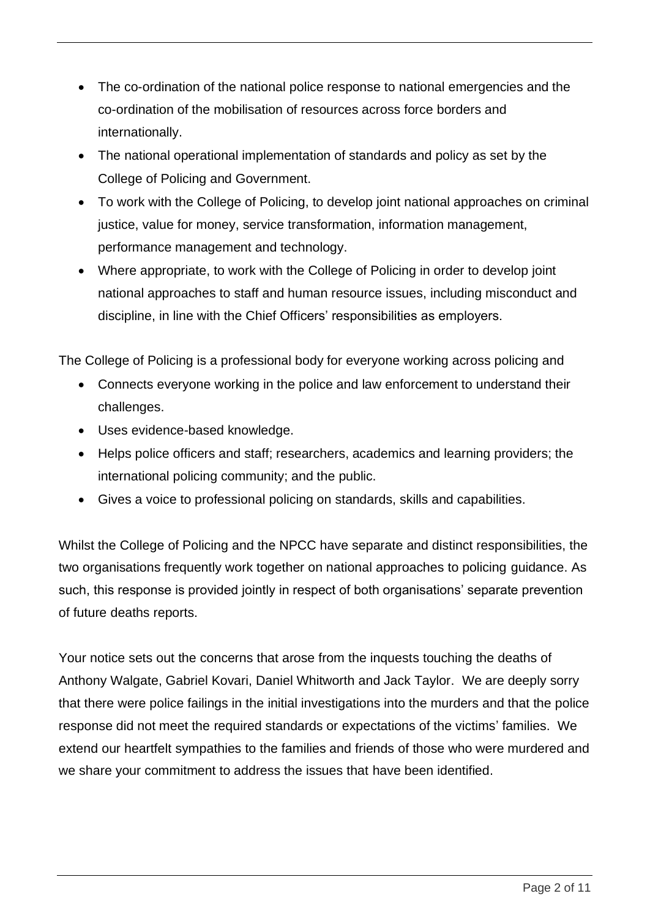- The co-ordination of the national police response to national emergencies and the co-ordination of the mobilisation of resources across force borders and internationally.
- The national operational implementation of standards and policy as set by the College of Policing and Government.
- To work with the College of Policing, to develop joint national approaches on criminal justice, value for money, service transformation, information management, performance management and technology.
- Where appropriate, to work with the College of Policing in order to develop joint national approaches to staff and human resource issues, including misconduct and discipline, in line with the Chief Officers' responsibilities as employers.

The College of Policing is a professional body for everyone working across policing and

- Connects everyone working in the police and law enforcement to understand their challenges.
- Uses evidence-based knowledge.
- Helps police officers and staff; researchers, academics and learning providers; the international policing community; and the public.
- Gives a voice to professional policing on standards, skills and capabilities.

Whilst the College of Policing and the NPCC have separate and distinct responsibilities, the two organisations frequently work together on national approaches to policing guidance. As such, this response is provided jointly in respect of both organisations' separate prevention of future deaths reports.

Your notice sets out the concerns that arose from the inquests touching the deaths of Anthony Walgate, Gabriel Kovari, Daniel Whitworth and Jack Taylor. We are deeply sorry that there were police failings in the initial investigations into the murders and that the police response did not meet the required standards or expectations of the victims' families. We extend our heartfelt sympathies to the families and friends of those who were murdered and we share your commitment to address the issues that have been identified.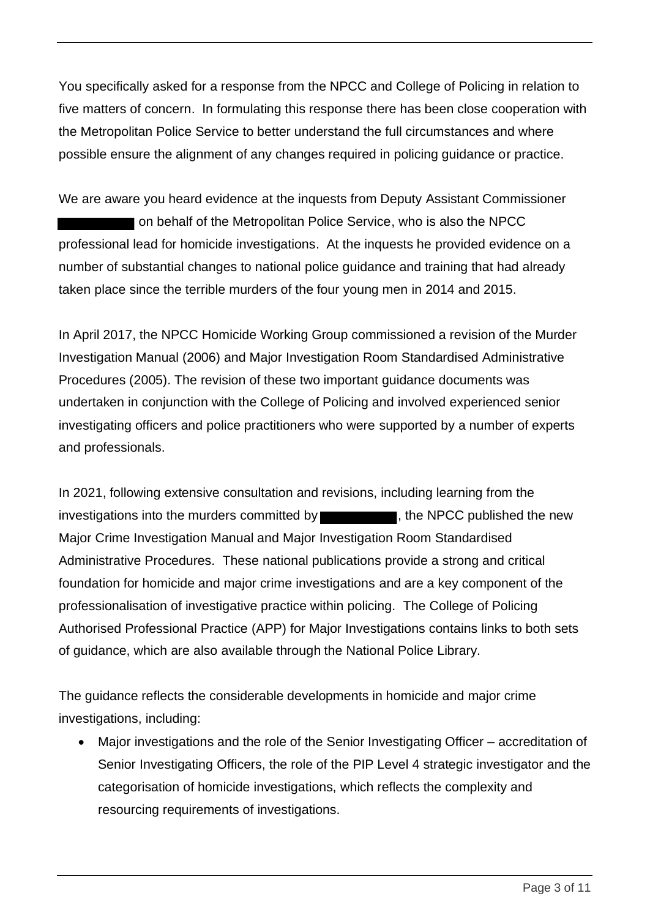You specifically asked for a response from the NPCC and College of Policing in relation to five matters of concern. In formulating this response there has been close cooperation with the Metropolitan Police Service to better understand the full circumstances and where possible ensure the alignment of any changes required in policing guidance or practice.

We are aware you heard evidence at the inquests from Deputy Assistant Commissioner on behalf of the Metropolitan Police Service, who is also the NPCC professional lead for homicide investigations. At the inquests he provided evidence on a number of substantial changes to national police guidance and training that had already taken place since the terrible murders of the four young men in 2014 and 2015.

In April 2017, the NPCC Homicide Working Group commissioned a revision of the Murder Investigation Manual (2006) and Major Investigation Room Standardised Administrative Procedures (2005). The revision of these two important guidance documents was undertaken in conjunction with the College of Policing and involved experienced senior investigating officers and police practitioners who were supported by a number of experts and professionals.

In 2021, following extensive consultation and revisions, including learning from the investigations into the murders committed by  $\blacksquare$ , the NPCC published the new Major Crime Investigation Manual and Major Investigation Room Standardised Administrative Procedures. These national publications provide a strong and critical foundation for homicide and major crime investigations and are a key component of the professionalisation of investigative practice within policing. The College of Policing Authorised Professional Practice (APP) for Major Investigations contains links to both sets of guidance, which are also available through the National Police Library.

The guidance reflects the considerable developments in homicide and major crime investigations, including:

• Major investigations and the role of the Senior Investigating Officer – accreditation of Senior Investigating Officers, the role of the PIP Level 4 strategic investigator and the categorisation of homicide investigations, which reflects the complexity and resourcing requirements of investigations.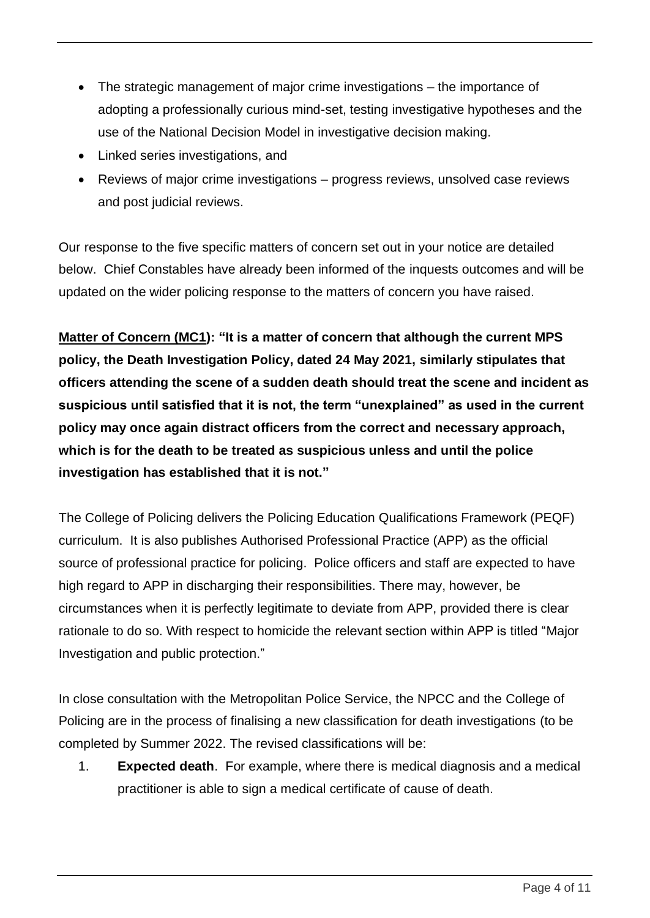- The strategic management of major crime investigations the importance of adopting a professionally curious mind-set, testing investigative hypotheses and the use of the National Decision Model in investigative decision making.
- Linked series investigations, and
- Reviews of major crime investigations progress reviews, unsolved case reviews and post judicial reviews.

Our response to the five specific matters of concern set out in your notice are detailed below. Chief Constables have already been informed of the inquests outcomes and will be updated on the wider policing response to the matters of concern you have raised.

**Matter of Concern (MC1): "It is a matter of concern that although the current MPS policy, the Death Investigation Policy, dated 24 May 2021, similarly stipulates that officers attending the scene of a sudden death should treat the scene and incident as suspicious until satisfied that it is not, the term "unexplained" as used in the current policy may once again distract officers from the correct and necessary approach, which is for the death to be treated as suspicious unless and until the police investigation has established that it is not."**

The College of Policing delivers the Policing Education Qualifications Framework (PEQF) curriculum. It is also publishes Authorised Professional Practice (APP) as the official source of professional practice for policing. Police officers and staff are expected to have high regard to APP in discharging their responsibilities. There may, however, be circumstances when it is perfectly legitimate to deviate from APP, provided there is clear rationale to do so. With respect to homicide the relevant section within APP is titled "Major Investigation and public protection."

In close consultation with the Metropolitan Police Service, the NPCC and the College of Policing are in the process of finalising a new classification for death investigations (to be completed by Summer 2022. The revised classifications will be:

1. **Expected death**. For example, where there is medical diagnosis and a medical practitioner is able to sign a medical certificate of cause of death.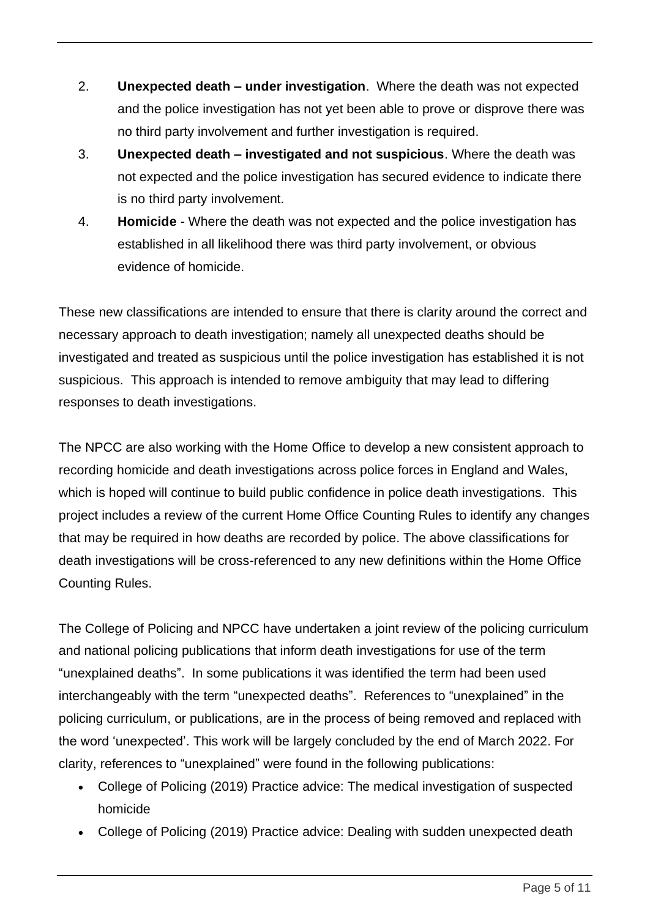- 2. **Unexpected death – under investigation**. Where the death was not expected and the police investigation has not yet been able to prove or disprove there was no third party involvement and further investigation is required.
- 3. **Unexpected death – investigated and not suspicious**. Where the death was not expected and the police investigation has secured evidence to indicate there is no third party involvement.
- 4. **Homicide** Where the death was not expected and the police investigation has established in all likelihood there was third party involvement, or obvious evidence of homicide.

These new classifications are intended to ensure that there is clarity around the correct and necessary approach to death investigation; namely all unexpected deaths should be investigated and treated as suspicious until the police investigation has established it is not suspicious. This approach is intended to remove ambiguity that may lead to differing responses to death investigations.

The NPCC are also working with the Home Office to develop a new consistent approach to recording homicide and death investigations across police forces in England and Wales, which is hoped will continue to build public confidence in police death investigations. This project includes a review of the current Home Office Counting Rules to identify any changes that may be required in how deaths are recorded by police. The above classifications for death investigations will be cross-referenced to any new definitions within the Home Office Counting Rules.

The College of Policing and NPCC have undertaken a joint review of the policing curriculum and national policing publications that inform death investigations for use of the term "unexplained deaths". In some publications it was identified the term had been used interchangeably with the term "unexpected deaths". References to "unexplained" in the policing curriculum, or publications, are in the process of being removed and replaced with the word 'unexpected'. This work will be largely concluded by the end of March 2022. For clarity, references to "unexplained" were found in the following publications:

- College of Policing (2019) Practice advice: The medical investigation of suspected homicide
- College of Policing (2019) Practice advice: Dealing with sudden unexpected death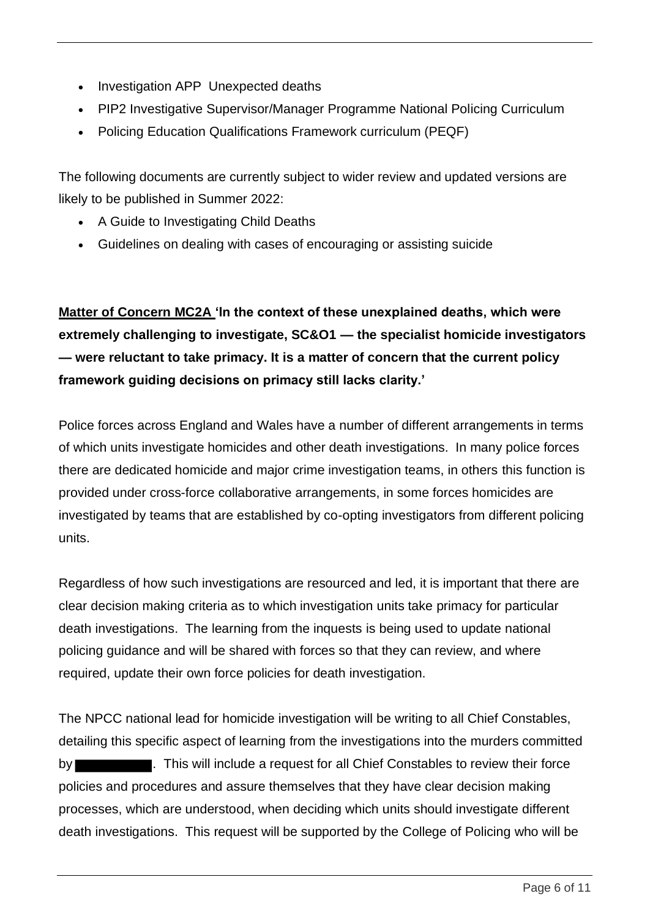- Investigation APP Unexpected deaths
- PIP2 Investigative Supervisor/Manager Programme National Policing Curriculum
- Policing Education Qualifications Framework curriculum (PEQF)

The following documents are currently subject to wider review and updated versions are likely to be published in Summer 2022:

- A Guide to Investigating Child Deaths
- Guidelines on dealing with cases of encouraging or assisting suicide

**Matter of Concern MC2A 'In the context of these unexplained deaths, which were extremely challenging to investigate, SC&O1 — the specialist homicide investigators — were reluctant to take primacy. It is a matter of concern that the current policy framework guiding decisions on primacy still lacks clarity.'**

Police forces across England and Wales have a number of different arrangements in terms of which units investigate homicides and other death investigations. In many police forces there are dedicated homicide and major crime investigation teams, in others this function is provided under cross-force collaborative arrangements, in some forces homicides are investigated by teams that are established by co-opting investigators from different policing units.

Regardless of how such investigations are resourced and led, it is important that there are clear decision making criteria as to which investigation units take primacy for particular death investigations. The learning from the inquests is being used to update national policing guidance and will be shared with forces so that they can review, and where required, update their own force policies for death investigation.

The NPCC national lead for homicide investigation will be writing to all Chief Constables, detailing this specific aspect of learning from the investigations into the murders committed by **Exercise 20**. This will include a request for all Chief Constables to review their force policies and procedures and assure themselves that they have clear decision making processes, which are understood, when deciding which units should investigate different death investigations. This request will be supported by the College of Policing who will be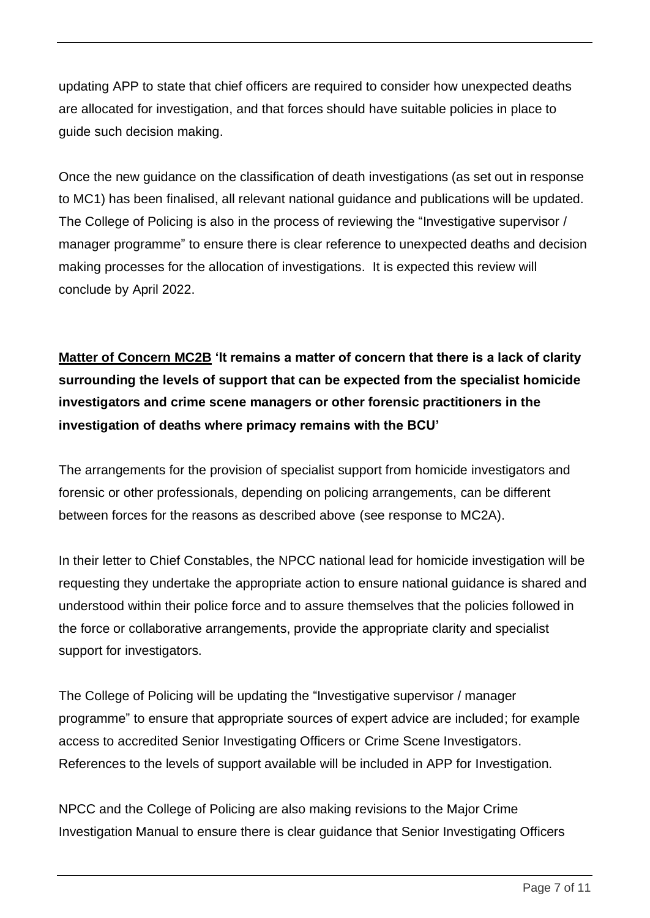updating APP to state that chief officers are required to consider how unexpected deaths are allocated for investigation, and that forces should have suitable policies in place to guide such decision making.

Once the new guidance on the classification of death investigations (as set out in response to MC1) has been finalised, all relevant national guidance and publications will be updated. The College of Policing is also in the process of reviewing the "Investigative supervisor / manager programme" to ensure there is clear reference to unexpected deaths and decision making processes for the allocation of investigations. It is expected this review will conclude by April 2022.

**Matter of Concern MC2B 'It remains a matter of concern that there is a lack of clarity surrounding the levels of support that can be expected from the specialist homicide investigators and crime scene managers or other forensic practitioners in the investigation of deaths where primacy remains with the BCU'**

The arrangements for the provision of specialist support from homicide investigators and forensic or other professionals, depending on policing arrangements, can be different between forces for the reasons as described above (see response to MC2A).

In their letter to Chief Constables, the NPCC national lead for homicide investigation will be requesting they undertake the appropriate action to ensure national guidance is shared and understood within their police force and to assure themselves that the policies followed in the force or collaborative arrangements, provide the appropriate clarity and specialist support for investigators.

The College of Policing will be updating the "Investigative supervisor / manager programme" to ensure that appropriate sources of expert advice are included; for example access to accredited Senior Investigating Officers or Crime Scene Investigators. References to the levels of support available will be included in APP for Investigation.

NPCC and the College of Policing are also making revisions to the Major Crime Investigation Manual to ensure there is clear guidance that Senior Investigating Officers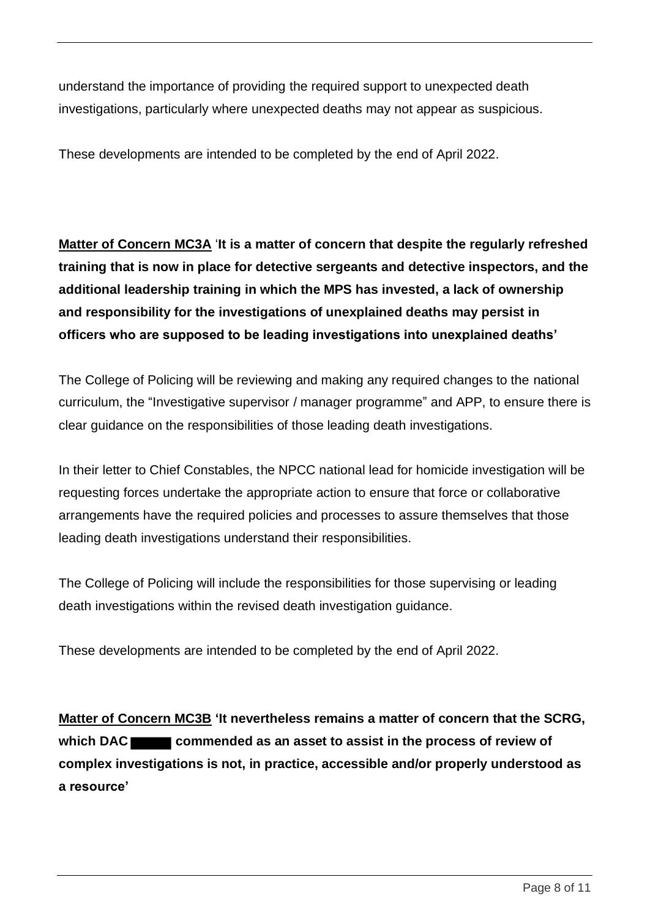understand the importance of providing the required support to unexpected death investigations, particularly where unexpected deaths may not appear as suspicious.

These developments are intended to be completed by the end of April 2022.

**Matter of Concern MC3A** '**It is a matter of concern that despite the regularly refreshed training that is now in place for detective sergeants and detective inspectors, and the additional leadership training in which the MPS has invested, a lack of ownership and responsibility for the investigations of unexplained deaths may persist in officers who are supposed to be leading investigations into unexplained deaths'**

The College of Policing will be reviewing and making any required changes to the national curriculum, the "Investigative supervisor / manager programme" and APP, to ensure there is clear guidance on the responsibilities of those leading death investigations.

In their letter to Chief Constables, the NPCC national lead for homicide investigation will be requesting forces undertake the appropriate action to ensure that force or collaborative arrangements have the required policies and processes to assure themselves that those leading death investigations understand their responsibilities.

The College of Policing will include the responsibilities for those supervising or leading death investigations within the revised death investigation guidance.

These developments are intended to be completed by the end of April 2022.

**Matter of Concern MC3B 'It nevertheless remains a matter of concern that the SCRG,**  which DAC commended as an asset to assist in the process of review of **complex investigations is not, in practice, accessible and/or properly understood as a resource'**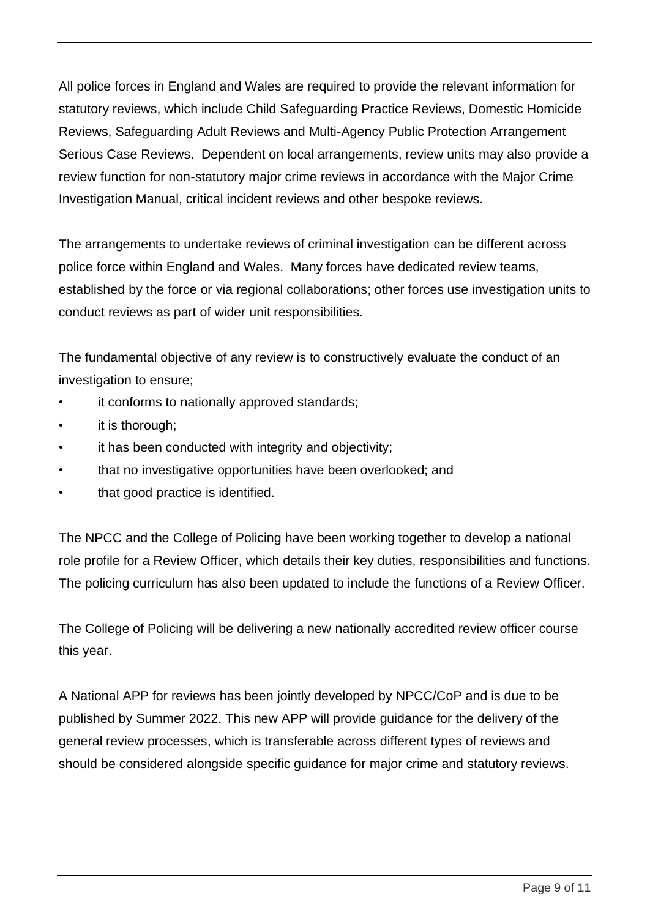All police forces in England and Wales are required to provide the relevant information for statutory reviews, which include Child Safeguarding Practice Reviews, Domestic Homicide Reviews, Safeguarding Adult Reviews and Multi-Agency Public Protection Arrangement Serious Case Reviews. Dependent on local arrangements, review units may also provide a review function for non-statutory major crime reviews in accordance with the Major Crime Investigation Manual, critical incident reviews and other bespoke reviews.

The arrangements to undertake reviews of criminal investigation can be different across police force within England and Wales. Many forces have dedicated review teams, established by the force or via regional collaborations; other forces use investigation units to conduct reviews as part of wider unit responsibilities.

The fundamental objective of any review is to constructively evaluate the conduct of an investigation to ensure;

- it conforms to nationally approved standards;
- it is thorough:
- it has been conducted with integrity and objectivity;
- that no investigative opportunities have been overlooked; and
- that good practice is identified.

The NPCC and the College of Policing have been working together to develop a national role profile for a Review Officer, which details their key duties, responsibilities and functions. The policing curriculum has also been updated to include the functions of a Review Officer.

The College of Policing will be delivering a new nationally accredited review officer course this year.

A National APP for reviews has been jointly developed by NPCC/CoP and is due to be published by Summer 2022. This new APP will provide guidance for the delivery of the general review processes, which is transferable across different types of reviews and should be considered alongside specific guidance for major crime and statutory reviews.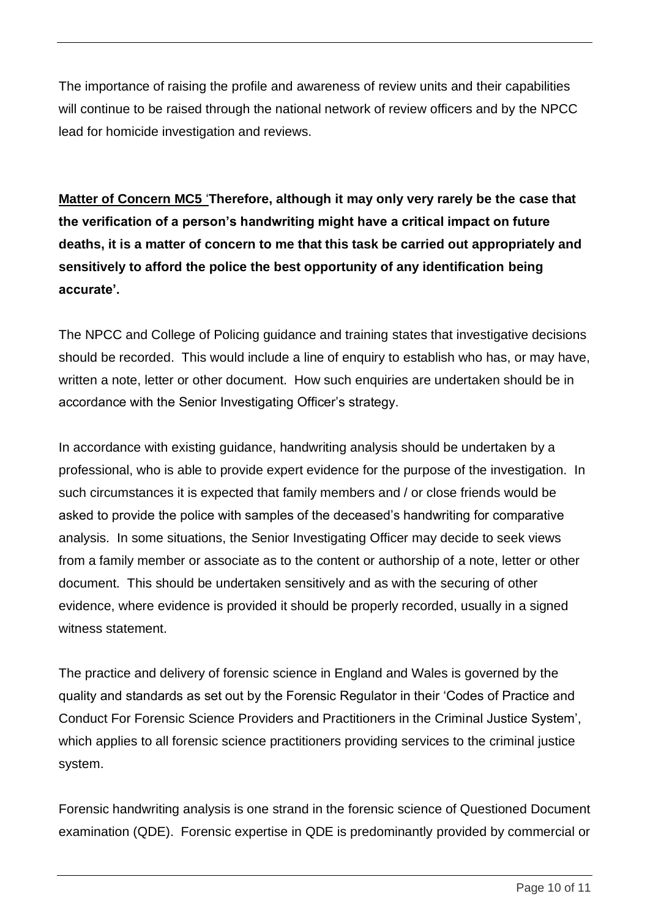The importance of raising the profile and awareness of review units and their capabilities will continue to be raised through the national network of review officers and by the NPCC lead for homicide investigation and reviews.

**Matter of Concern MC5** '**Therefore, although it may only very rarely be the case that the verification of a person's handwriting might have a critical impact on future deaths, it is a matter of concern to me that this task be carried out appropriately and sensitively to afford the police the best opportunity of any identification being accurate'.**

The NPCC and College of Policing guidance and training states that investigative decisions should be recorded. This would include a line of enquiry to establish who has, or may have, written a note, letter or other document. How such enquiries are undertaken should be in accordance with the Senior Investigating Officer's strategy.

In accordance with existing guidance, handwriting analysis should be undertaken by a professional, who is able to provide expert evidence for the purpose of the investigation. In such circumstances it is expected that family members and / or close friends would be asked to provide the police with samples of the deceased's handwriting for comparative analysis. In some situations, the Senior Investigating Officer may decide to seek views from a family member or associate as to the content or authorship of a note, letter or other document. This should be undertaken sensitively and as with the securing of other evidence, where evidence is provided it should be properly recorded, usually in a signed witness statement.

The practice and delivery of forensic science in England and Wales is governed by the quality and standards as set out by the Forensic Regulator in their 'Codes of Practice and Conduct For Forensic Science Providers and Practitioners in the Criminal Justice System', which applies to all forensic science practitioners providing services to the criminal justice system.

Forensic handwriting analysis is one strand in the forensic science of Questioned Document examination (QDE). Forensic expertise in QDE is predominantly provided by commercial or